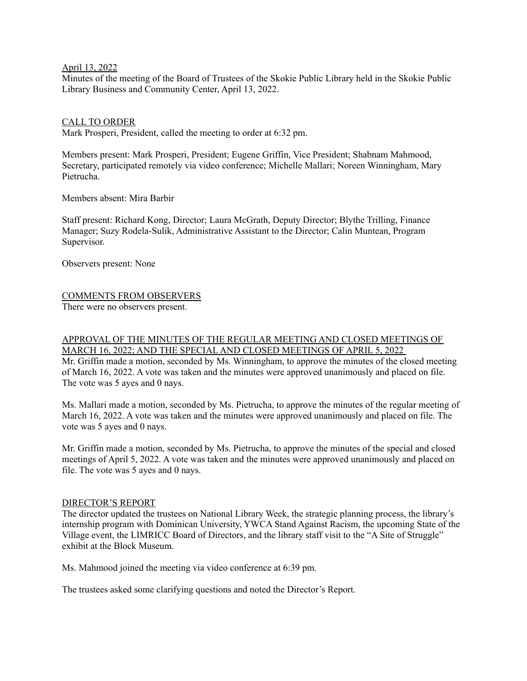April 13, 2022

Minutes of the meeting of the Board of Trustees of the Skokie Public Library held in the Skokie Public Library Business and Community Center, April 13, 2022.

### CALL TO ORDER

Mark Prosperi, President, called the meeting to order at 6:32 pm.

Members present: Mark Prosperi, President; Eugene Griffin, Vice President; Shabnam Mahmood, Secretary, participated remotely via video conference; Michelle Mallari; Noreen Winningham, Mary Pietrucha.

Members absent: Mira Barbir

Staff present: Richard Kong, Director; Laura McGrath, Deputy Director; Blythe Trilling, Finance Manager; Suzy Rodela-Sulik, Administrative Assistant to the Director; Calin Muntean, Program Supervisor.

Observers present: None

# COMMENTS FROM OBSERVERS

There were no observers present.

# APPROVAL OF THE MINUTES OF THE REGULAR MEETING AND CLOSED MEETINGS OF MARCH 16, 2022; AND THE SPECIAL AND CLOSED MEETINGS OF APRIL 5, 2022

Mr. Griffin made a motion, seconded by Ms. Winningham, to approve the minutes of the closed meeting of March 16, 2022. A vote was taken and the minutes were approved unanimously and placed on file. The vote was 5 ayes and 0 nays.

Ms. Mallari made a motion, seconded by Ms. Pietrucha, to approve the minutes of the regular meeting of March 16, 2022. A vote was taken and the minutes were approved unanimously and placed on file. The vote was 5 ayes and 0 nays.

Mr. Griffin made a motion, seconded by Ms. Pietrucha, to approve the minutes of the special and closed meetings of April 5, 2022. A vote was taken and the minutes were approved unanimously and placed on file. The vote was 5 ayes and 0 nays.

#### DIRECTOR'S REPORT

The director updated the trustees on National Library Week, the strategic planning process, the library's internship program with Dominican University, YWCA Stand Against Racism, the upcoming State of the Village event, the LIMRICC Board of Directors, and the library staff visit to the "A Site of Struggle" exhibit at the Block Museum.

Ms. Mahmood joined the meeting via video conference at 6:39 pm.

The trustees asked some clarifying questions and noted the Director's Report.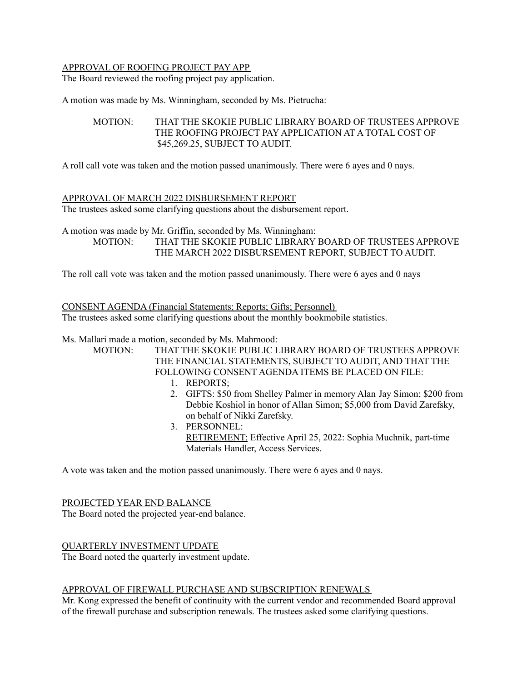# APPROVAL OF ROOFING PROJECT PAY APP

The Board reviewed the roofing project pay application.

A motion was made by Ms. Winningham, seconded by Ms. Pietrucha:

# MOTION: THAT THE SKOKIE PUBLIC LIBRARY BOARD OF TRUSTEES APPROVE THE ROOFING PROJECT PAY APPLICATION AT A TOTAL COST OF \$45,269.25, SUBJECT TO AUDIT.

A roll call vote was taken and the motion passed unanimously. There were 6 ayes and 0 nays.

### APPROVAL OF MARCH 2022 DISBURSEMENT REPORT

The trustees asked some clarifying questions about the disbursement report.

A motion was made by Mr. Griffin, seconded by Ms. Winningham: MOTION: THAT THE SKOKIE PUBLIC LIBRARY BOARD OF TRUSTEES APPROVE THE MARCH 2022 DISBURSEMENT REPORT, SUBJECT TO AUDIT.

The roll call vote was taken and the motion passed unanimously. There were 6 ayes and 0 nays

CONSENT AGENDA (Financial Statements; Reports; Gifts; Personnel) The trustees asked some clarifying questions about the monthly bookmobile statistics.

Ms. Mallari made a motion, seconded by Ms. Mahmood:

MOTION: THAT THE SKOKIE PUBLIC LIBRARY BOARD OF TRUSTEES APPROVE THE FINANCIAL STATEMENTS, SUBJECT TO AUDIT, AND THAT THE FOLLOWING CONSENT AGENDA ITEMS BE PLACED ON FILE:

- 1. REPORTS;
- 2. GIFTS: \$50 from Shelley Palmer in memory Alan Jay Simon; \$200 from Debbie Koshiol in honor of Allan Simon; \$5,000 from David Zarefsky, on behalf of Nikki Zarefsky.
- 3. PERSONNEL: RETIREMENT: Effective April 25, 2022: Sophia Muchnik, part-time Materials Handler, Access Services.

A vote was taken and the motion passed unanimously. There were 6 ayes and 0 nays.

### PROJECTED YEAR END BALANCE

The Board noted the projected year-end balance.

# QUARTERLY INVESTMENT UPDATE

The Board noted the quarterly investment update.

#### APPROVAL OF FIREWALL PURCHASE AND SUBSCRIPTION RENEWALS

Mr. Kong expressed the benefit of continuity with the current vendor and recommended Board approval of the firewall purchase and subscription renewals. The trustees asked some clarifying questions.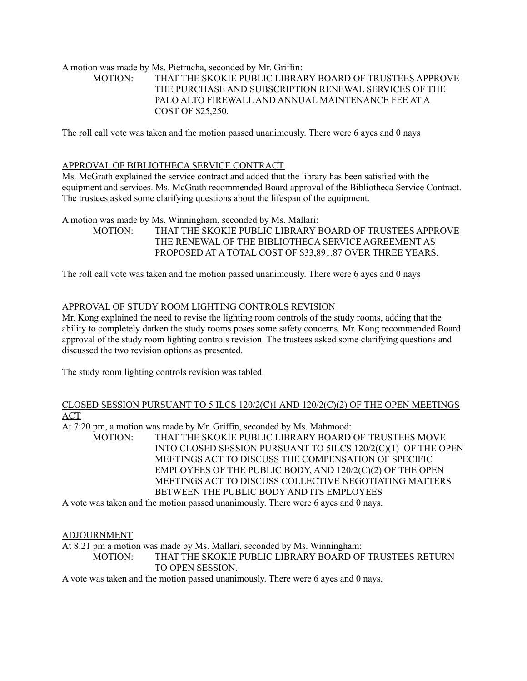# A motion was made by Ms. Pietrucha, seconded by Mr. Griffin: MOTION: THAT THE SKOKIE PUBLIC LIBRARY BOARD OF TRUSTEES APPROVE THE PURCHASE AND SUBSCRIPTION RENEWAL SERVICES OF THE PALO ALTO FIREWALL AND ANNUAL MAINTENANCE FEE AT A COST OF \$25,250.

The roll call vote was taken and the motion passed unanimously. There were 6 ayes and 0 nays

# APPROVAL OF BIBLIOTHECA SERVICE CONTRACT

Ms. McGrath explained the service contract and added that the library has been satisfied with the equipment and services. Ms. McGrath recommended Board approval of the Bibliotheca Service Contract. The trustees asked some clarifying questions about the lifespan of the equipment.

A motion was made by Ms. Winningham, seconded by Ms. Mallari:

MOTION: THAT THE SKOKIE PUBLIC LIBRARY BOARD OF TRUSTEES APPROVE THE RENEWAL OF THE BIBLIOTHECA SERVICE AGREEMENT AS PROPOSED AT A TOTAL COST OF \$33,891.87 OVER THREE YEARS.

The roll call vote was taken and the motion passed unanimously. There were 6 ayes and 0 nays

### APPROVAL OF STUDY ROOM LIGHTING CONTROLS REVISION

Mr. Kong explained the need to revise the lighting room controls of the study rooms, adding that the ability to completely darken the study rooms poses some safety concerns. Mr. Kong recommended Board approval of the study room lighting controls revision. The trustees asked some clarifying questions and discussed the two revision options as presented.

The study room lighting controls revision was tabled.

### CLOSED SESSION PURSUANT TO 5 ILCS 120/2(C)1 AND 120/2(C)(2) OF THE OPEN MEETINGS ACT

At 7:20 pm, a motion was made by Mr. Griffin, seconded by Ms. Mahmood:

MOTION: THAT THE SKOKIE PUBLIC LIBRARY BOARD OF TRUSTEES MOVE INTO CLOSED SESSION PURSUANT TO 5ILCS 120/2(C)(1) OF THE OPEN MEETINGS ACT TO DISCUSS THE COMPENSATION OF SPECIFIC EMPLOYEES OF THE PUBLIC BODY, AND 120/2(C)(2) OF THE OPEN MEETINGS ACT TO DISCUSS COLLECTIVE NEGOTIATING MATTERS BETWEEN THE PUBLIC BODY AND ITS EMPLOYEES

A vote was taken and the motion passed unanimously. There were 6 ayes and 0 nays.

#### ADJOURNMENT

At 8:21 pm a motion was made by Ms. Mallari, seconded by Ms. Winningham: MOTION: THAT THE SKOKIE PUBLIC LIBRARY BOARD OF TRUSTEES RETURN TO OPEN SESSION.

A vote was taken and the motion passed unanimously. There were 6 ayes and 0 nays.